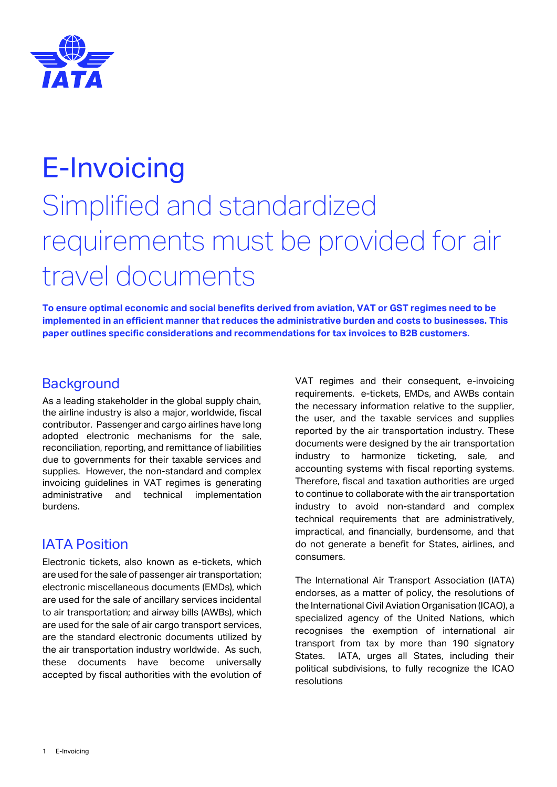

## E-Invoicing Simplified and standardized requirements must be provided for air travel documents

**To ensure optimal economic and social benefits derived from aviation, VAT or GST regimes need to be implemented in an efficient manner that reduces the administrative burden and costs to businesses. This paper outlines specific considerations and recommendations for tax invoices to B2B customers.**

## **Background**

As a leading stakeholder in the global supply chain, the airline industry is also a major, worldwide, fiscal contributor. Passenger and cargo airlines have long adopted electronic mechanisms for the sale, reconciliation, reporting, and remittance of liabilities due to governments for their taxable services and supplies. However, the non-standard and complex invoicing guidelines in VAT regimes is generating administrative and technical implementation burdens.

## IATA Position

Electronic tickets, also known as e-tickets, which are used for the sale of passenger air transportation; electronic miscellaneous documents (EMDs), which are used for the sale of ancillary services incidental to air transportation; and airway bills (AWBs), which are used for the sale of air cargo transport services, are the standard electronic documents utilized by the air transportation industry worldwide. As such, these documents have become universally accepted by fiscal authorities with the evolution of VAT regimes and their consequent, e-invoicing requirements. e-tickets, EMDs, and AWBs contain the necessary information relative to the supplier, the user, and the taxable services and supplies reported by the air transportation industry. These documents were designed by the air transportation industry to harmonize ticketing, sale, and accounting systems with fiscal reporting systems. Therefore, fiscal and taxation authorities are urged to continue to collaborate with the air transportation industry to avoid non-standard and complex technical requirements that are administratively, impractical, and financially, burdensome, and that do not generate a benefit for States, airlines, and consumers.

The International Air Transport Association (IATA) endorses, as a matter of policy, the resolutions of the International Civil Aviation Organisation (ICAO), a specialized agency of the United Nations, which recognises the exemption of international air transport from tax by more than 190 signatory States. IATA, urges all States, including their political subdivisions, to fully recognize the ICAO resolutions